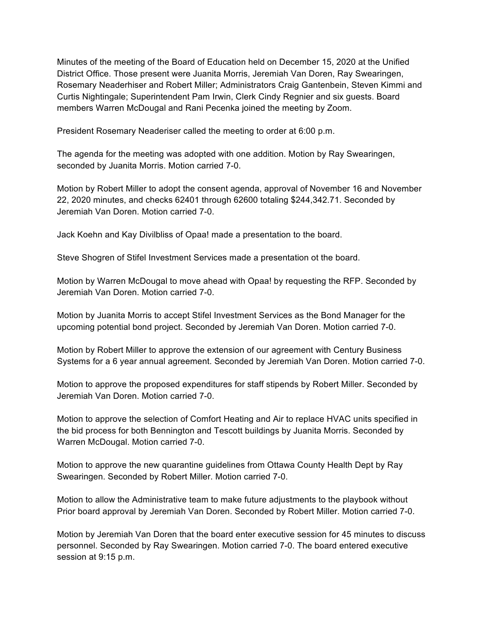Minutes of the meeting of the Board of Education held on December 15, 2020 at the Unified District Office. Those present were Juanita Morris, Jeremiah Van Doren, Ray Swearingen, Rosemary Neaderhiser and Robert Miller; Administrators Craig Gantenbein, Steven Kimmi and Curtis Nightingale; Superintendent Pam Irwin, Clerk Cindy Regnier and six guests. Board members Warren McDougal and Rani Pecenka joined the meeting by Zoom.

President Rosemary Neaderiser called the meeting to order at 6:00 p.m.

The agenda for the meeting was adopted with one addition. Motion by Ray Swearingen, seconded by Juanita Morris. Motion carried 7-0.

Motion by Robert Miller to adopt the consent agenda, approval of November 16 and November 22, 2020 minutes, and checks 62401 through 62600 totaling \$244,342.71. Seconded by Jeremiah Van Doren. Motion carried 7-0.

Jack Koehn and Kay Divilbliss of Opaa! made a presentation to the board.

Steve Shogren of Stifel Investment Services made a presentation ot the board.

Motion by Warren McDougal to move ahead with Opaa! by requesting the RFP. Seconded by Jeremiah Van Doren. Motion carried 7-0.

Motion by Juanita Morris to accept Stifel Investment Services as the Bond Manager for the upcoming potential bond project. Seconded by Jeremiah Van Doren. Motion carried 7-0.

Motion by Robert Miller to approve the extension of our agreement with Century Business Systems for a 6 year annual agreement. Seconded by Jeremiah Van Doren. Motion carried 7-0.

Motion to approve the proposed expenditures for staff stipends by Robert Miller. Seconded by Jeremiah Van Doren. Motion carried 7-0.

Motion to approve the selection of Comfort Heating and Air to replace HVAC units specified in the bid process for both Bennington and Tescott buildings by Juanita Morris. Seconded by Warren McDougal. Motion carried 7-0.

Motion to approve the new quarantine guidelines from Ottawa County Health Dept by Ray Swearingen. Seconded by Robert Miller. Motion carried 7-0.

Motion to allow the Administrative team to make future adjustments to the playbook without Prior board approval by Jeremiah Van Doren. Seconded by Robert Miller. Motion carried 7-0.

Motion by Jeremiah Van Doren that the board enter executive session for 45 minutes to discuss personnel. Seconded by Ray Swearingen. Motion carried 7-0. The board entered executive session at 9:15 p.m.